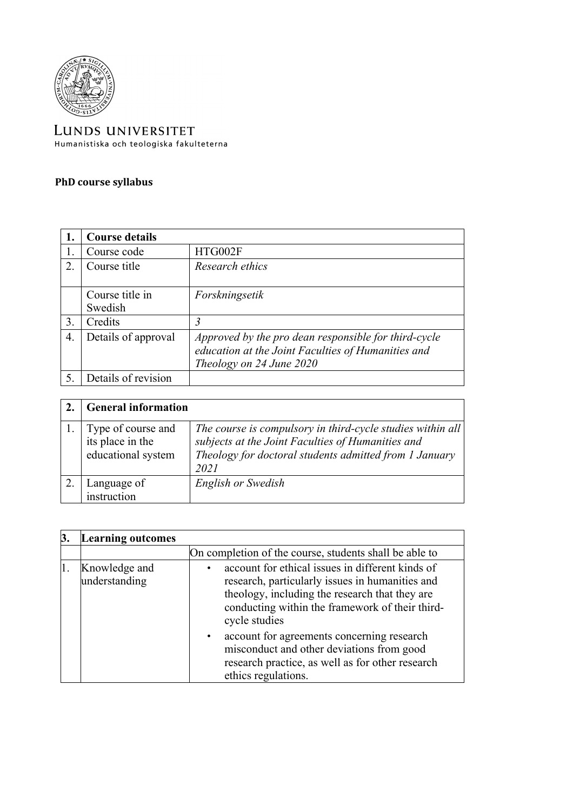

LUNDS UNIVERSITET Humanistiska och teologiska fakulteterna

## **PhD course syllabus**

|                       | <b>Course details</b>      |                                                                                                                                        |
|-----------------------|----------------------------|----------------------------------------------------------------------------------------------------------------------------------------|
|                       | Course code                | HTG002F                                                                                                                                |
| $\mathcal{D}_{\cdot}$ | Course title               | Research ethics                                                                                                                        |
|                       | Course title in<br>Swedish | Forskningsetik                                                                                                                         |
| 3.                    | Credits                    | 3                                                                                                                                      |
| 4.                    | Details of approval        | Approved by the pro dean responsible for third-cycle<br>education at the Joint Faculties of Humanities and<br>Theology on 24 June 2020 |
|                       | Details of revision        |                                                                                                                                        |

| <b>General information</b>                                   |                                                                                                                                                                                   |
|--------------------------------------------------------------|-----------------------------------------------------------------------------------------------------------------------------------------------------------------------------------|
| Type of course and<br>its place in the<br>educational system | The course is compulsory in third-cycle studies within all<br>subjects at the Joint Faculties of Humanities and<br>Theology for doctoral students admitted from 1 January<br>2021 |
| Language of<br>instruction                                   | English or Swedish                                                                                                                                                                |

| <b>Learning outcomes</b>       |                                                                                                                                                                                                                           |
|--------------------------------|---------------------------------------------------------------------------------------------------------------------------------------------------------------------------------------------------------------------------|
|                                | On completion of the course, students shall be able to                                                                                                                                                                    |
| Knowledge and<br>understanding | account for ethical issues in different kinds of<br>research, particularly issues in humanities and<br>theology, including the research that they are<br>conducting within the framework of their third-<br>cycle studies |
|                                | account for agreements concerning research<br>misconduct and other deviations from good<br>research practice, as well as for other research<br>ethics regulations.                                                        |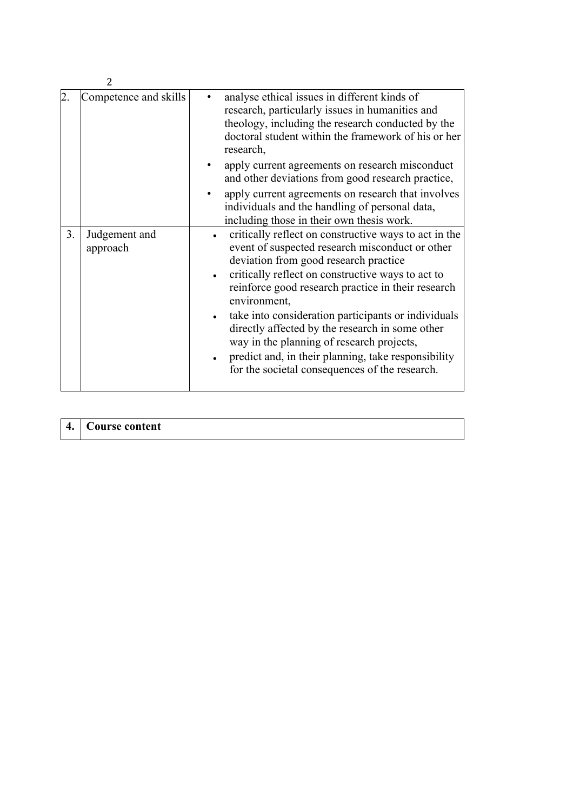|                                 | Competence and skills | analyse ethical issues in different kinds of<br>research, particularly issues in humanities and<br>theology, including the research conducted by the<br>doctoral student within the framework of his or her<br>research,<br>apply current agreements on research misconduct<br>and other deviations from good research practice,<br>apply current agreements on research that involves<br>individuals and the handling of personal data,                                                                                                     |
|---------------------------------|-----------------------|----------------------------------------------------------------------------------------------------------------------------------------------------------------------------------------------------------------------------------------------------------------------------------------------------------------------------------------------------------------------------------------------------------------------------------------------------------------------------------------------------------------------------------------------|
|                                 |                       | including those in their own thesis work.                                                                                                                                                                                                                                                                                                                                                                                                                                                                                                    |
| 3.<br>Judgement and<br>approach |                       | critically reflect on constructive ways to act in the<br>event of suspected research misconduct or other<br>deviation from good research practice<br>critically reflect on constructive ways to act to<br>reinforce good research practice in their research<br>environment,<br>take into consideration participants or individuals<br>directly affected by the research in some other<br>way in the planning of research projects,<br>predict and, in their planning, take responsibility<br>for the societal consequences of the research. |

| 4. Course content |  |
|-------------------|--|
|-------------------|--|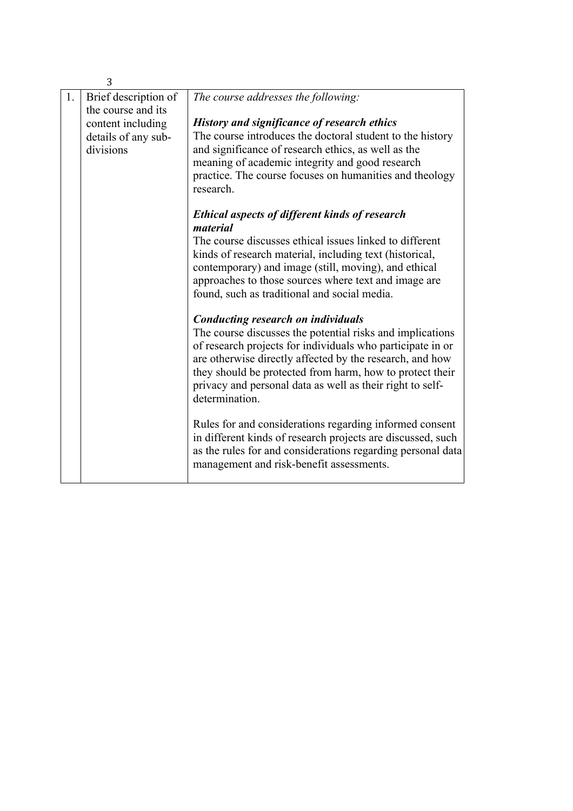|    | 3                                          |                                                                                                                                                                                                                                                                                                                                                                             |
|----|--------------------------------------------|-----------------------------------------------------------------------------------------------------------------------------------------------------------------------------------------------------------------------------------------------------------------------------------------------------------------------------------------------------------------------------|
| 1. | Brief description of<br>the course and its | The course addresses the following:                                                                                                                                                                                                                                                                                                                                         |
|    | content including<br>details of any sub-   | <b>History and significance of research ethics</b><br>The course introduces the doctoral student to the history                                                                                                                                                                                                                                                             |
|    | divisions                                  | and significance of research ethics, as well as the<br>meaning of academic integrity and good research<br>practice. The course focuses on humanities and theology<br>research.                                                                                                                                                                                              |
|    |                                            | <b>Ethical aspects of different kinds of research</b><br>material                                                                                                                                                                                                                                                                                                           |
|    |                                            | The course discusses ethical issues linked to different<br>kinds of research material, including text (historical,<br>contemporary) and image (still, moving), and ethical                                                                                                                                                                                                  |
|    |                                            | approaches to those sources where text and image are<br>found, such as traditional and social media.                                                                                                                                                                                                                                                                        |
|    |                                            | <b>Conducting research on individuals</b><br>The course discusses the potential risks and implications<br>of research projects for individuals who participate in or<br>are otherwise directly affected by the research, and how<br>they should be protected from harm, how to protect their<br>privacy and personal data as well as their right to self-<br>determination. |
|    |                                            | Rules for and considerations regarding informed consent<br>in different kinds of research projects are discussed, such<br>as the rules for and considerations regarding personal data<br>management and risk-benefit assessments.                                                                                                                                           |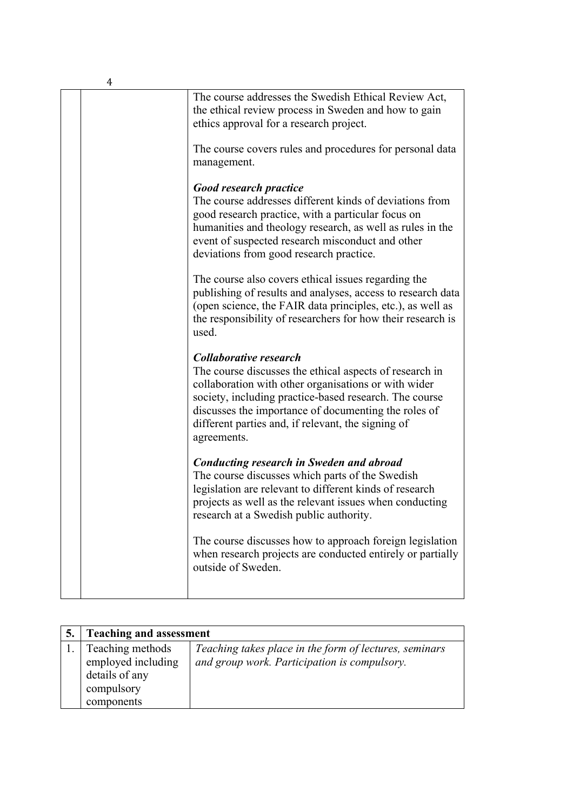|  | The course addresses the Swedish Ethical Review Act,<br>the ethical review process in Sweden and how to gain<br>ethics approval for a research project.                                                                                                                                                                                 |
|--|-----------------------------------------------------------------------------------------------------------------------------------------------------------------------------------------------------------------------------------------------------------------------------------------------------------------------------------------|
|  | The course covers rules and procedures for personal data<br>management.                                                                                                                                                                                                                                                                 |
|  | <b>Good research practice</b><br>The course addresses different kinds of deviations from<br>good research practice, with a particular focus on<br>humanities and theology research, as well as rules in the<br>event of suspected research misconduct and other<br>deviations from good research practice.                              |
|  | The course also covers ethical issues regarding the<br>publishing of results and analyses, access to research data<br>(open science, the FAIR data principles, etc.), as well as<br>the responsibility of researchers for how their research is<br>used.                                                                                |
|  | <b>Collaborative research</b><br>The course discusses the ethical aspects of research in<br>collaboration with other organisations or with wider<br>society, including practice-based research. The course<br>discusses the importance of documenting the roles of<br>different parties and, if relevant, the signing of<br>agreements. |
|  | <b>Conducting research in Sweden and abroad</b><br>The course discusses which parts of the Swedish<br>legislation are relevant to different kinds of research<br>projects as well as the relevant issues when conducting<br>research at a Swedish public authority.                                                                     |
|  | The course discusses how to approach foreign legislation<br>when research projects are conducted entirely or partially<br>outside of Sweden.                                                                                                                                                                                            |
|  |                                                                                                                                                                                                                                                                                                                                         |

| <b>Teaching and assessment</b>                           |                                                                                                        |
|----------------------------------------------------------|--------------------------------------------------------------------------------------------------------|
| Teaching methods<br>employed including<br>details of any | Teaching takes place in the form of lectures, seminars<br>and group work. Participation is compulsory. |
| compulsory<br>components                                 |                                                                                                        |

4